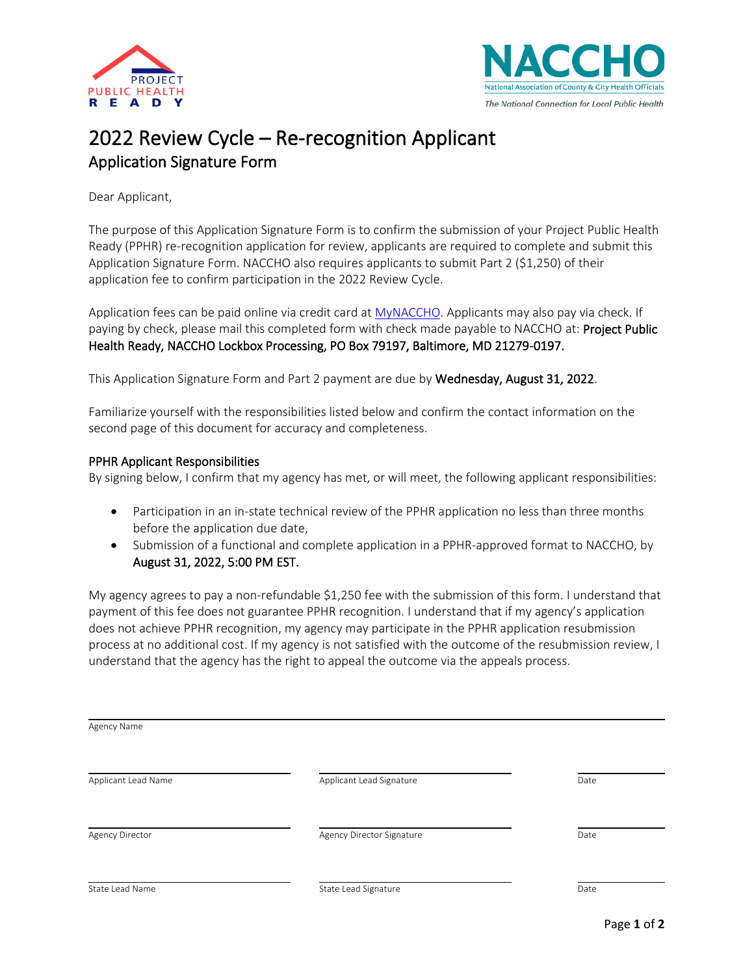



## 2022 Review Cycle – Re-recognition Applicant Application Signature Form

Dear Applicant,

The purpose of this Application Signature Form is to confirm the submission of your Project Public Health Ready (PPHR) re-recognition application for review, applicants are required to complete and submit this Application Signature Form. NACCHO also requires applicants to submit Part 2 (\$1,250) of their application fee to confirm participation in the 2022 Review Cycle.

Application fees can be paid online via credit card at [MyNACCHO.](https://eweb.naccho.org/eweb/DynamicPage.aspx?WebCode=LoginRequired&expires=yes&Site=naccho) Applicants may also pay via check. If paying by check, please mail this completed form with check made payable to NACCHO at: Project Public Health Ready, NACCHO Lockbox Processing, PO Box 79197, Baltimore, MD 21279-0197.

This Application Signature Form and Part 2 payment are due by Wednesday, August 31, 2022.

Familiarize yourself with the responsibilities listed below and confirm the contact information on the second page of this document for accuracy and completeness.

## PPHR Applicant Responsibilities

By signing below, I confirm that my agency has met, or will meet, the following applicant responsibilities:

- Participation in an in-state technical review of the PPHR application no less than three months before the application due date,
- Submission of a functional and complete application in a PPHR-approved format to NACCHO, by August 31, 2022, 5:00 PM EST.

My agency agrees to pay a non-refundable \$1,250 fee with the submission of this form. I understand that payment of this fee does not guarantee PPHR recognition. I understand that if my agency's application does not achieve PPHR recognition, my agency may participate in the PPHR application resubmission process at no additional cost. If my agency is not satisfied with the outcome of the resubmission review, I understand that the agency has the right to appeal the outcome via the appeals process.

| Agency Name         |                           |      |
|---------------------|---------------------------|------|
| Applicant Lead Name | Applicant Lead Signature  | Date |
| Agency Director     | Agency Director Signature | Date |
| State Lead Name     | State Lead Signature      | Date |